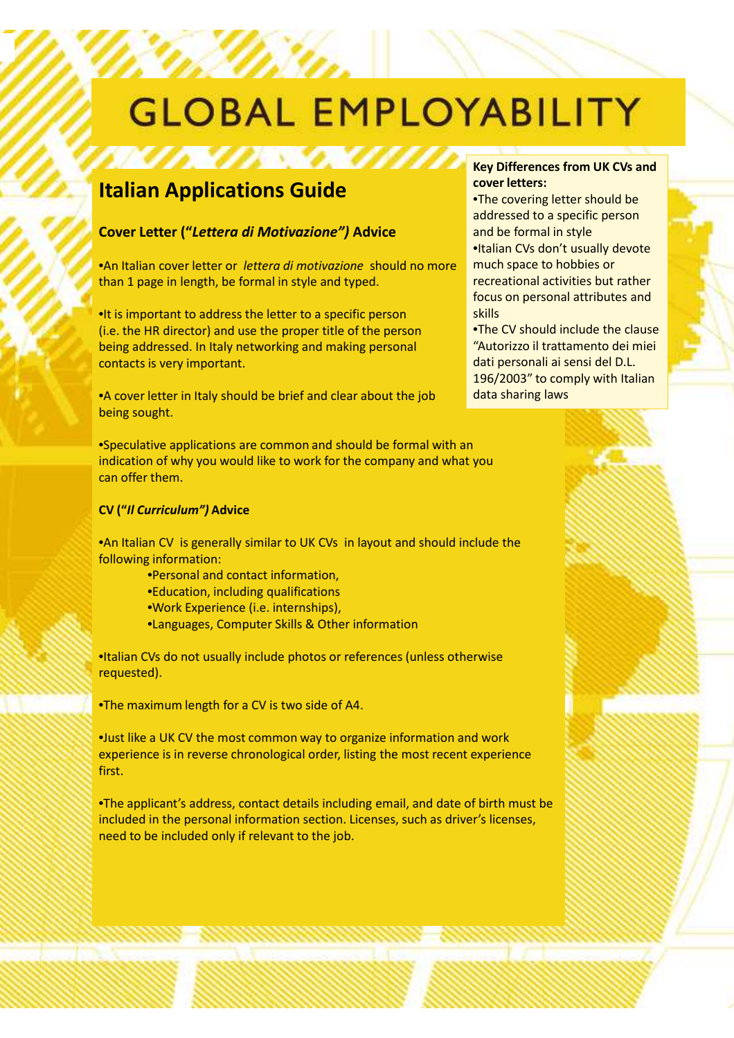# **GLOBAL EMPLOYABILITY**

### **Italian Applications Guide**

#### **Cover Letter ("***Lettera di Motivazione")* **Advice**

•An Italian cover letter or *lettera di motivazione* should no more than 1 page in length, be formal in style and typed.

•It is important to address the letter to a specific person (i.e. the HR director) and use the proper title of the person being addressed. In Italy networking and making personal contacts is very important.

•A cover letter in Italy should be brief and clear about the job being sought.

•Speculative applications are common and should be formal with an indication of why you would like to work for the company and what you can offer them.

#### **CV ("***Il Curriculum")* **Advice**

•An Italian CV is generally similar to UK CVs in layout and should include the following information:

- •Personal and contact information,
- •Education, including qualifications
- •Work Experience (i.e. internships),
- •Languages, Computer Skills & Other information

•Italian CVs do not usually include photos or references (unless otherwise requested).

•The maximum length for a CV is two side of A4.

•Just like a UK CV the most common way to organize information and work experience is in reverse chronological order, listing the most recent experience first.

•The applicant's address, contact details including email, and date of birth must be included in the personal information section. Licenses, such as driver's licenses, need to be included only if relevant to the job.

#### **Key Differences from UK CVs and cover letters:**

•The covering letter should be addressed to a specific person and be formal in style •Italian CVs don't usually devote much space to hobbies or recreational activities but rather focus on personal attributes and skills

•The CV should include the clause "Autorizzo il trattamento dei miei dati personali ai sensi del D.L. 196/2003" to comply with Italian data sharing laws